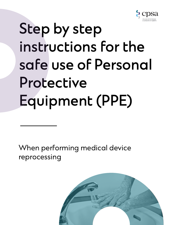

# Step by step instructions for the safe use of Personal Protective Equipment (PPE)

When performing medical device reprocessing

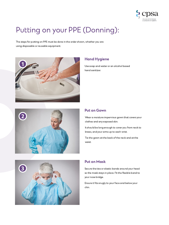

# Putting on your PPE (Donning):

The steps for putting on PPE must be done in the order shown, whether you are using disposable or reusable equipment.





#### Hand Hygiene

Use soap and water or an alcohol based hand sanitizer.

#### Put on Gown

Wear a moisture impervious gown that covers your clothes and any exposed skin.

It should be long enough to cover you from neck to knees, and your arms up to each wrist.

Tie the gown at the back of the neck and at the waist.



#### Put on Mask

Secure the ties or elastic bands around your head so the mask stays in place. Fit the flexible band to your nose bridge.

Ensure it fits snugly to your face and below your chin.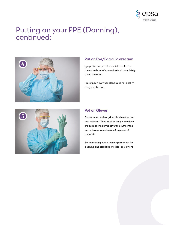

# Putting on your PPE (Donning), continued:



# Put on Eye/Facial Protection

Eye protection, or a face shield must cover the entire front of eye and extend completely along the sides.

Prescription eyewear alone does not qualify as eye protection.



#### Put on Gloves

Gloves must be clean, durable, chemical and tear resistant. They must be long enough so the cuffs of the gloves cover the cuffs of the gown. Ensure your skin is not exposed at the wrist.

Examination gloves are not appropriate for cleaning and sterilizing medical equipment.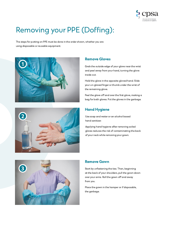

# Removing your PPE (Doffing):

The steps for putting on PPE must be done in the order shown, whether you are using disposable or reusable equipment.





#### Remove Gloves

Grab the outside edge of your glove near the wrist and peel away from your hand, turning the glove inside out.

Hold the glove in the opposite gloved hand. Slide your un-gloved finger or thumb under the wrist of the remaining glove.

Peel the glove off and over the first glove, making a bag for both gloves. Put the gloves in the garbage.

### Hand Hygiene

Use soap and water or an alcohol based hand sanitizer.

Applying hand hygiene after removing soiled gloves reduces the risk of contaminating the back of your neck while removing your gown.



#### Remove Gown

Start by unfastening the ties. Then, beginning at the back of your shoulders, pull the gown down over your arms. Roll the gown off and away from you.

Place the gown in the hamper or if disposable, the garbage.